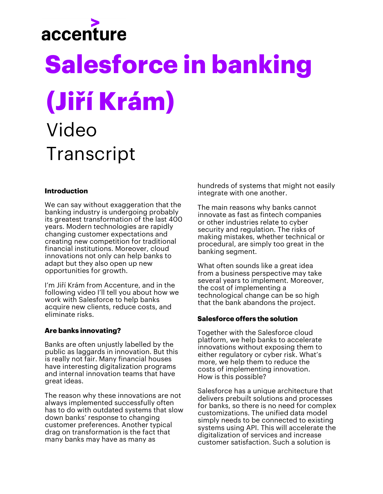# accenture

## **Salesforce in banking (Jiří Krám)** Video **Transcript**

#### **Introduction**

We can say without exaggeration that the banking industry is undergoing probably its greatest transformation of the last 400 years. Modern technologies are rapidly changing customer expectations and creating new competition for traditional financial institutions. Moreover, cloud innovations not only can help banks to adapt but they also open up new opportunities for growth.

I'm Jiří Krám from Accenture, and in the following video I'll tell you about how we work with Salesforce to help banks acquire new clients, reduce costs, and eliminate risks.

#### **Are banks innovating?**

Banks are often unjustly labelled by the public as laggards in innovation. But this is really not fair. Many financial houses have interesting digitalization programs and internal innovation teams that have great ideas.

The reason why these innovations are not always implemented successfully often has to do with outdated systems that slow down banks' response to changing customer preferences. Another typical drag on transformation is the fact that many banks may have as many as

hundreds of systems that might not easily integrate with one another.

The main reasons why banks cannot innovate as fast as fintech companies or other industries relate to cyber security and regulation. The risks of making mistakes, whether technical or procedural, are simply too great in the banking segment.

What often sounds like a great idea from a business perspective may take several years to implement. Moreover, the cost of implementing a technological change can be so high that the bank abandons the project.

#### **Salesforce offers the solution**

Together with the Salesforce cloud platform, we help banks to accelerate innovations without exposing them to either regulatory or cyber risk. What's more, we help them to reduce the costs of implementing innovation. How is this possible?

Salesforce has a unique architecture that delivers prebuilt solutions and processes for banks, so there is no need for complex customizations. The unified data model simply needs to be connected to existing systems using API. This will accelerate the digitalization of services and increase customer satisfaction. Such a solution is